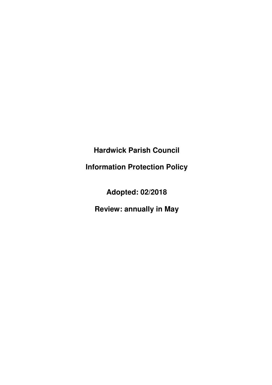**Hardwick Parish Council** 

**Information Protection Policy** 

**Adopted: 02/2018** 

**Review: annually in May**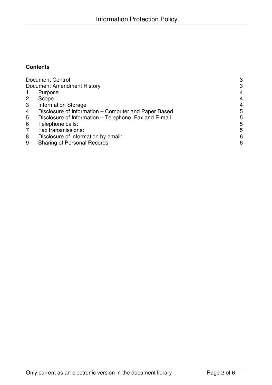## **Contents**

| <b>Document Control</b>           | 3                                                     |                |  |
|-----------------------------------|-------------------------------------------------------|----------------|--|
| <b>Document Amendment History</b> |                                                       |                |  |
|                                   | Purpose                                               | $\overline{4}$ |  |
| $\overline{2}$                    | Scope                                                 | 4              |  |
| 3                                 | <b>Information Storage</b>                            | $\overline{4}$ |  |
| 4                                 | Disclosure of Information – Computer and Paper Based  | 5              |  |
| 5                                 | Disclosure of Information - Telephone, Fax and E-mail | 5              |  |
| 6                                 | Telephone calls:                                      | 5              |  |
| 7                                 | Fax transmissions:                                    | 5              |  |
| 8                                 | Disclosure of information by email:                   | 6              |  |
| 9                                 | <b>Sharing of Personal Records</b>                    | 6              |  |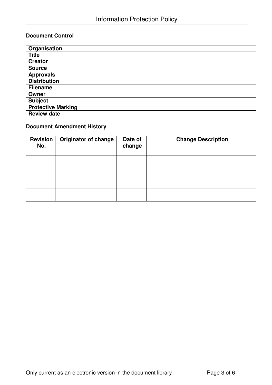## **Document Control**

| Organisation              |  |
|---------------------------|--|
| <b>Title</b>              |  |
| <b>Creator</b>            |  |
| <b>Source</b>             |  |
| Approvals                 |  |
| <b>Distribution</b>       |  |
| <b>Filename</b>           |  |
| Owner                     |  |
| <b>Subject</b>            |  |
| <b>Protective Marking</b> |  |
| <b>Review date</b>        |  |

# **Document Amendment History**

| <b>Revision</b><br>No. | <b>Originator of change</b> | Date of<br>change | <b>Change Description</b> |
|------------------------|-----------------------------|-------------------|---------------------------|
|                        |                             |                   |                           |
|                        |                             |                   |                           |
|                        |                             |                   |                           |
|                        |                             |                   |                           |
|                        |                             |                   |                           |
|                        |                             |                   |                           |
|                        |                             |                   |                           |
|                        |                             |                   |                           |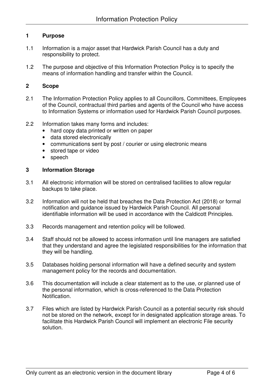### **1 Purpose**

- 1.1 Information is a major asset that Hardwick Parish Council has a duty and responsibility to protect.
- 1.2 The purpose and objective of this Information Protection Policy is to specify the means of information handling and transfer within the Council.

### **2 Scope**

- 2.1 The Information Protection Policy applies to all Councillors, Committees, Employees of the Council, contractual third parties and agents of the Council who have access to Information Systems or information used for Hardwick Parish Council purposes.
- 2.2 Information takes many forms and includes:
	- hard copy data printed or written on paper
	- data stored electronically
	- communications sent by post / courier or using electronic means
	- stored tape or video
	- speech

### **3 Information Storage**

- 3.1 All electronic information will be stored on centralised facilities to allow regular backups to take place.
- 3.2 Information will not be held that breaches the Data Protection Act (2018) or formal notification and guidance issued by Hardwick Parish Council. All personal identifiable information will be used in accordance with the Caldicott Principles.
- 3.3 Records management and retention policy will be followed.
- 3.4 Staff should not be allowed to access information until line managers are satisfied that they understand and agree the legislated responsibilities for the information that they will be handling.
- 3.5 Databases holding personal information will have a defined security and system management policy for the records and documentation.
- 3.6 This documentation will include a clear statement as to the use, or planned use of the personal information, which is cross-referenced to the Data Protection Notification.
- 3.7 Files which are listed by Hardwick Parish Council as a potential security risk should not be stored on the network, except for in designated application storage areas. To facilitate this Hardwick Parish Council will implement an electronic File security solution.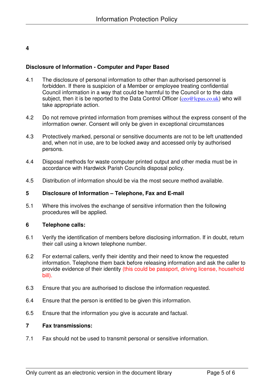## **4**

### **Disclosure of Information - Computer and Paper Based**

- 4.1 The disclosure of personal information to other than authorised personnel is forbidden. If there is suspicion of a Member or employee treating confidential Council information in a way that could be harmful to the Council or to the data subject, then it is be reported to the Data Control Officer ( $ceo@lcpas.co.uk$ ) who will take appropriate action.
- 4.2 Do not remove printed information from premises without the express consent of the information owner. Consent will only be given in exceptional circumstances
- 4.3 Protectively marked, personal or sensitive documents are not to be left unattended and, when not in use, are to be locked away and accessed only by authorised persons.
- 4.4 Disposal methods for waste computer printed output and other media must be in accordance with Hardwick Parish Councils disposal policy.
- 4.5 Distribution of information should be via the most secure method available.

#### **5 Disclosure of Information – Telephone, Fax and E-mail**

5.1 Where this involves the exchange of sensitive information then the following procedures will be applied.

#### **6 Telephone calls:**

- 6.1 Verify the identification of members before disclosing information. If in doubt, return their call using a known telephone number.
- 6.2 For external callers, verify their identity and their need to know the requested information. Telephone them back before releasing information and ask the caller to provide evidence of their identity (this could be passport, driving license, household bill).
- 6.3 Ensure that you are authorised to disclose the information requested.
- 6.4 Ensure that the person is entitled to be given this information.
- 6.5 Ensure that the information you give is accurate and factual.

#### **7 Fax transmissions:**

7.1 Fax should not be used to transmit personal or sensitive information.